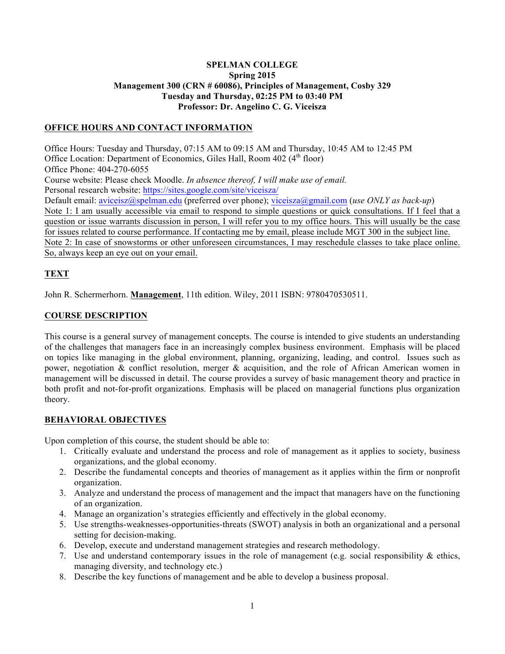### **SPELMAN COLLEGE Spring 2015 Management 300 (CRN # 60086), Principles of Management, Cosby 329 Tuesday and Thursday, 02:25 PM to 03:40 PM Professor: Dr. Angelino C. G. Viceisza**

## **OFFICE HOURS AND CONTACT INFORMATION**

Office Hours: Tuesday and Thursday, 07:15 AM to 09:15 AM and Thursday, 10:45 AM to 12:45 PM Office Location: Department of Economics, Giles Hall, Room 402 (4<sup>th</sup> floor) Office Phone: 404-270-6055 Course website: Please check Moodle. *In absence thereof, I will make use of email.*  Personal research website: https://sites.google.com/site/viceisza/ Default email: aviceisz@spelman.edu (preferred over phone); viceisza@gmail.com (*use ONLY as back-up*) Note 1: I am usually accessible via email to respond to simple questions or quick consultations. If I feel that a question or issue warrants discussion in person, I will refer you to my office hours. This will usually be the case for issues related to course performance. If contacting me by email, please include MGT 300 in the subject line. Note 2: In case of snowstorms or other unforeseen circumstances, I may reschedule classes to take place online. So, always keep an eye out on your email.

# **TEXT**

John R. Schermerhorn. **Management**, 11th edition. Wiley, 2011 ISBN: 9780470530511.

# **COURSE DESCRIPTION**

This course is a general survey of management concepts. The course is intended to give students an understanding of the challenges that managers face in an increasingly complex business environment. Emphasis will be placed on topics like managing in the global environment, planning, organizing, leading, and control. Issues such as power, negotiation & conflict resolution, merger & acquisition, and the role of African American women in management will be discussed in detail. The course provides a survey of basic management theory and practice in both profit and not-for-profit organizations. Emphasis will be placed on managerial functions plus organization theory.

# **BEHAVIORAL OBJECTIVES**

Upon completion of this course, the student should be able to:

- 1. Critically evaluate and understand the process and role of management as it applies to society, business organizations, and the global economy.
- 2. Describe the fundamental concepts and theories of management as it applies within the firm or nonprofit organization.
- 3. Analyze and understand the process of management and the impact that managers have on the functioning of an organization.
- 4. Manage an organization's strategies efficiently and effectively in the global economy.
- 5. Use strengths-weaknesses-opportunities-threats (SWOT) analysis in both an organizational and a personal setting for decision-making.
- 6. Develop, execute and understand management strategies and research methodology.
- 7. Use and understand contemporary issues in the role of management (e.g. social responsibility  $\&$  ethics, managing diversity, and technology etc.)
- 8. Describe the key functions of management and be able to develop a business proposal.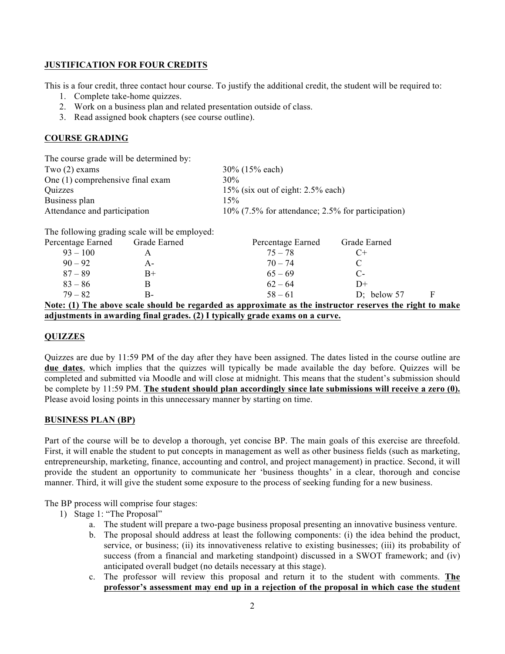## **JUSTIFICATION FOR FOUR CREDITS**

This is a four credit, three contact hour course. To justify the additional credit, the student will be required to:

- 1. Complete take-home quizzes.
- 2. Work on a business plan and related presentation outside of class.
- 3. Read assigned book chapters (see course outline).

# **COURSE GRADING**

| The course grade will be determined by: |                                                      |
|-----------------------------------------|------------------------------------------------------|
| Two $(2)$ exams                         | 30% (15% each)                                       |
| One (1) comprehensive final exam        | 30%                                                  |
| Quizzes                                 | $15\%$ (six out of eight: 2.5% each)                 |
| Business plan                           | 15%                                                  |
| Attendance and participation            | $10\%$ (7.5% for attendance; 2.5% for participation) |

The following grading scale will be employed:

| Percentage Earned | Grade Earned | Percentage Earned                                                                                        | Grade Earned  |   |
|-------------------|--------------|----------------------------------------------------------------------------------------------------------|---------------|---|
| $93 - 100$        |              | $75 - 78$                                                                                                | $C+$          |   |
| $90 - 92$         | A-           | $70 - 74$                                                                                                |               |   |
| $87 - 89$         | $B+$         | $65 - 69$                                                                                                | C-            |   |
| $83 - 86$         |              | $62 - 64$                                                                                                | D+            |   |
| $79 - 82$         | В-           | $58 - 61$                                                                                                | D; below $57$ | F |
|                   |              | Note: (1) The above scale should be regarded as approximate as the instructor reserves the right to make |               |   |

**adjustments in awarding final grades. (2) I typically grade exams on a curve.** 

# **QUIZZES**

Quizzes are due by 11:59 PM of the day after they have been assigned. The dates listed in the course outline are **due dates**, which implies that the quizzes will typically be made available the day before. Quizzes will be completed and submitted via Moodle and will close at midnight. This means that the student's submission should be complete by 11:59 PM. **The student should plan accordingly since late submissions will receive a zero (0).** Please avoid losing points in this unnecessary manner by starting on time.

# **BUSINESS PLAN (BP)**

Part of the course will be to develop a thorough, yet concise BP. The main goals of this exercise are threefold. First, it will enable the student to put concepts in management as well as other business fields (such as marketing, entrepreneurship, marketing, finance, accounting and control, and project management) in practice. Second, it will provide the student an opportunity to communicate her 'business thoughts' in a clear, thorough and concise manner. Third, it will give the student some exposure to the process of seeking funding for a new business.

The BP process will comprise four stages:

- 1) Stage 1: "The Proposal"
	- a. The student will prepare a two-page business proposal presenting an innovative business venture.
	- b. The proposal should address at least the following components: (i) the idea behind the product, service, or business; (ii) its innovativeness relative to existing businesses; (iii) its probability of success (from a financial and marketing standpoint) discussed in a SWOT framework; and (iv) anticipated overall budget (no details necessary at this stage).
	- c. The professor will review this proposal and return it to the student with comments. **The professor's assessment may end up in a rejection of the proposal in which case the student**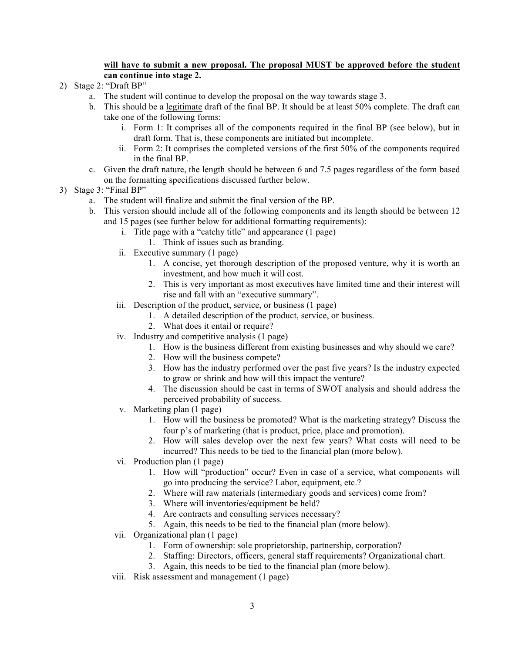### **will have to submit a new proposal. The proposal MUST be approved before the student can continue into stage 2.**

- 2) Stage 2: "Draft BP"
	- a. The student will continue to develop the proposal on the way towards stage 3.
	- b. This should be a legitimate draft of the final BP. It should be at least 50% complete. The draft can take one of the following forms:
		- i. Form 1: It comprises all of the components required in the final BP (see below), but in draft form. That is, these components are initiated but incomplete.
		- ii. Form 2: It comprises the completed versions of the first 50% of the components required in the final BP.
	- c. Given the draft nature, the length should be between 6 and 7.5 pages regardless of the form based on the formatting specifications discussed further below.

## 3) Stage 3: "Final BP"

- a. The student will finalize and submit the final version of the BP.
- b. This version should include all of the following components and its length should be between 12 and 15 pages (see further below for additional formatting requirements):
	- i. Title page with a "catchy title" and appearance (1 page)
		- 1. Think of issues such as branding.
	- ii. Executive summary (1 page)
		- 1. A concise, yet thorough description of the proposed venture, why it is worth an investment, and how much it will cost.
		- 2. This is very important as most executives have limited time and their interest will rise and fall with an "executive summary".
	- iii. Description of the product, service, or business (1 page)
		- 1. A detailed description of the product, service, or business.
		- 2. What does it entail or require?
	- iv. Industry and competitive analysis (1 page)
		- 1. How is the business different from existing businesses and why should we care?
		- 2. How will the business compete?
		- 3. How has the industry performed over the past five years? Is the industry expected to grow or shrink and how will this impact the venture?
		- 4. The discussion should be cast in terms of SWOT analysis and should address the perceived probability of success.
	- v. Marketing plan (1 page)
		- 1. How will the business be promoted? What is the marketing strategy? Discuss the four p's of marketing (that is product, price, place and promotion).
		- 2. How will sales develop over the next few years? What costs will need to be incurred? This needs to be tied to the financial plan (more below).
	- vi. Production plan (1 page)
		- 1. How will "production" occur? Even in case of a service, what components will go into producing the service? Labor, equipment, etc.?
		- 2. Where will raw materials (intermediary goods and services) come from?
		- 3. Where will inventories/equipment be held?
		- 4. Are contracts and consulting services necessary?
		- 5. Again, this needs to be tied to the financial plan (more below).
	- vii. Organizational plan (1 page)
		- 1. Form of ownership: sole proprietorship, partnership, corporation?
		- 2. Staffing: Directors, officers, general staff requirements? Organizational chart.
		- 3. Again, this needs to be tied to the financial plan (more below).
	- viii. Risk assessment and management (1 page)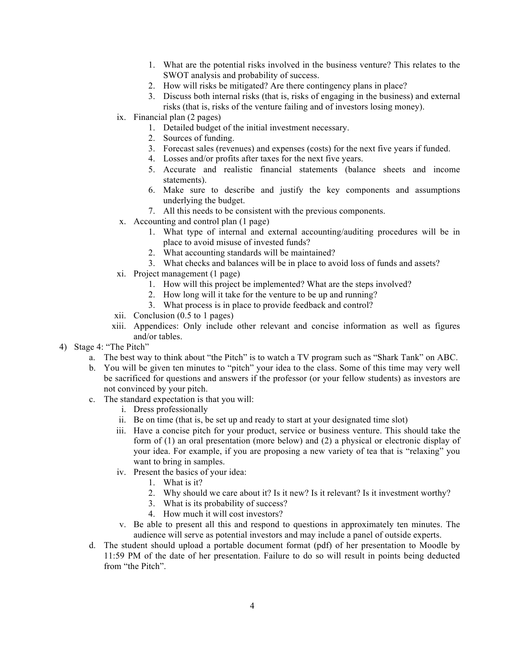- 1. What are the potential risks involved in the business venture? This relates to the SWOT analysis and probability of success.
- 2. How will risks be mitigated? Are there contingency plans in place?
- 3. Discuss both internal risks (that is, risks of engaging in the business) and external risks (that is, risks of the venture failing and of investors losing money).
- ix. Financial plan (2 pages)
	- 1. Detailed budget of the initial investment necessary.
	- 2. Sources of funding.
	- 3. Forecast sales (revenues) and expenses (costs) for the next five years if funded.
	- 4. Losses and/or profits after taxes for the next five years.
	- 5. Accurate and realistic financial statements (balance sheets and income statements).
	- 6. Make sure to describe and justify the key components and assumptions underlying the budget.
	- 7. All this needs to be consistent with the previous components.
- x. Accounting and control plan (1 page)
	- 1. What type of internal and external accounting/auditing procedures will be in place to avoid misuse of invested funds?
	- 2. What accounting standards will be maintained?
	- 3. What checks and balances will be in place to avoid loss of funds and assets?
- xi. Project management (1 page)
	- 1. How will this project be implemented? What are the steps involved?
	- 2. How long will it take for the venture to be up and running?
	- 3. What process is in place to provide feedback and control?
- xii. Conclusion (0.5 to 1 pages)
- xiii. Appendices: Only include other relevant and concise information as well as figures and/or tables.
- 4) Stage 4: "The Pitch"
	- a. The best way to think about "the Pitch" is to watch a TV program such as "Shark Tank" on ABC.
	- b. You will be given ten minutes to "pitch" your idea to the class. Some of this time may very well be sacrificed for questions and answers if the professor (or your fellow students) as investors are not convinced by your pitch.
	- c. The standard expectation is that you will:
		- i. Dress professionally
		- ii. Be on time (that is, be set up and ready to start at your designated time slot)
		- iii. Have a concise pitch for your product, service or business venture. This should take the form of (1) an oral presentation (more below) and (2) a physical or electronic display of your idea. For example, if you are proposing a new variety of tea that is "relaxing" you want to bring in samples.
		- iv. Present the basics of your idea:
			- 1. What is it?
			- 2. Why should we care about it? Is it new? Is it relevant? Is it investment worthy?
			- 3. What is its probability of success?
			- 4. How much it will cost investors?
		- v. Be able to present all this and respond to questions in approximately ten minutes. The audience will serve as potential investors and may include a panel of outside experts.
	- d. The student should upload a portable document format (pdf) of her presentation to Moodle by 11:59 PM of the date of her presentation. Failure to do so will result in points being deducted from "the Pitch".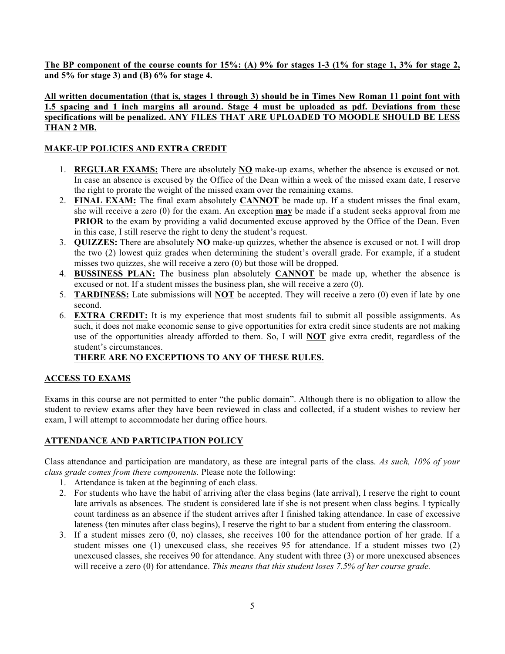**The BP component of the course counts for 15%: (A) 9% for stages 1-3 (1% for stage 1, 3% for stage 2, and 5% for stage 3) and (B) 6% for stage 4.** 

# **All written documentation (that is, stages 1 through 3) should be in Times New Roman 11 point font with 1.5 spacing and 1 inch margins all around. Stage 4 must be uploaded as pdf. Deviations from these specifications will be penalized. ANY FILES THAT ARE UPLOADED TO MOODLE SHOULD BE LESS THAN 2 MB.**

# **MAKE-UP POLICIES AND EXTRA CREDIT**

- 1. **REGULAR EXAMS:** There are absolutely **NO** make-up exams, whether the absence is excused or not. In case an absence is excused by the Office of the Dean within a week of the missed exam date, I reserve the right to prorate the weight of the missed exam over the remaining exams.
- 2. **FINAL EXAM:** The final exam absolutely **CANNOT** be made up. If a student misses the final exam, she will receive a zero (0) for the exam. An exception **may** be made if a student seeks approval from me **PRIOR** to the exam by providing a valid documented excuse approved by the Office of the Dean. Even in this case, I still reserve the right to deny the student's request.
- 3. **QUIZZES:** There are absolutely **NO** make-up quizzes, whether the absence is excused or not. I will drop the two (2) lowest quiz grades when determining the student's overall grade. For example, if a student misses two quizzes, she will receive a zero (0) but those will be dropped.
- 4. **BUSSINESS PLAN:** The business plan absolutely **CANNOT** be made up, whether the absence is excused or not. If a student misses the business plan, she will receive a zero (0).
- 5. **TARDINESS:** Late submissions will **NOT** be accepted. They will receive a zero (0) even if late by one second.
- 6. **EXTRA CREDIT:** It is my experience that most students fail to submit all possible assignments. As such, it does not make economic sense to give opportunities for extra credit since students are not making use of the opportunities already afforded to them. So, I will **NOT** give extra credit, regardless of the student's circumstances.

# **THERE ARE NO EXCEPTIONS TO ANY OF THESE RULES.**

# **ACCESS TO EXAMS**

Exams in this course are not permitted to enter "the public domain". Although there is no obligation to allow the student to review exams after they have been reviewed in class and collected, if a student wishes to review her exam, I will attempt to accommodate her during office hours.

# **ATTENDANCE AND PARTICIPATION POLICY**

Class attendance and participation are mandatory, as these are integral parts of the class. *As such, 10% of your class grade comes from these components.* Please note the following:

- 1. Attendance is taken at the beginning of each class.
- 2. For students who have the habit of arriving after the class begins (late arrival), I reserve the right to count late arrivals as absences. The student is considered late if she is not present when class begins. I typically count tardiness as an absence if the student arrives after I finished taking attendance. In case of excessive lateness (ten minutes after class begins), I reserve the right to bar a student from entering the classroom.
- 3. If a student misses zero (0, no) classes, she receives 100 for the attendance portion of her grade. If a student misses one (1) unexcused class, she receives 95 for attendance. If a student misses two (2) unexcused classes, she receives 90 for attendance. Any student with three (3) or more unexcused absences will receive a zero (0) for attendance. *This means that this student loses 7.5% of her course grade.*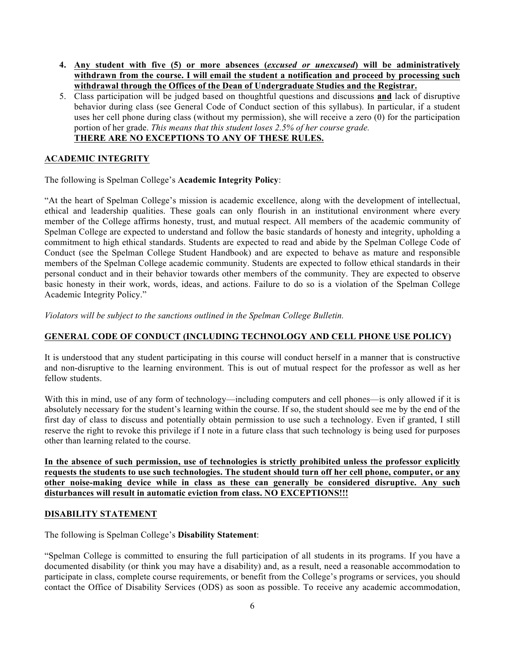- **4. Any student with five (5) or more absences (***excused or unexcused***) will be administratively withdrawn from the course. I will email the student a notification and proceed by processing such withdrawal through the Offices of the Dean of Undergraduate Studies and the Registrar.**
- 5. Class participation will be judged based on thoughtful questions and discussions **and** lack of disruptive behavior during class (see General Code of Conduct section of this syllabus). In particular, if a student uses her cell phone during class (without my permission), she will receive a zero (0) for the participation portion of her grade. *This means that this student loses 2.5% of her course grade.* **THERE ARE NO EXCEPTIONS TO ANY OF THESE RULES.**

## **ACADEMIC INTEGRITY**

The following is Spelman College's **Academic Integrity Policy**:

"At the heart of Spelman College's mission is academic excellence, along with the development of intellectual, ethical and leadership qualities. These goals can only flourish in an institutional environment where every member of the College affirms honesty, trust, and mutual respect. All members of the academic community of Spelman College are expected to understand and follow the basic standards of honesty and integrity, upholding a commitment to high ethical standards. Students are expected to read and abide by the Spelman College Code of Conduct (see the Spelman College Student Handbook) and are expected to behave as mature and responsible members of the Spelman College academic community. Students are expected to follow ethical standards in their personal conduct and in their behavior towards other members of the community. They are expected to observe basic honesty in their work, words, ideas, and actions. Failure to do so is a violation of the Spelman College Academic Integrity Policy."

*Violators will be subject to the sanctions outlined in the Spelman College Bulletin.*

#### **GENERAL CODE OF CONDUCT (INCLUDING TECHNOLOGY AND CELL PHONE USE POLICY)**

It is understood that any student participating in this course will conduct herself in a manner that is constructive and non-disruptive to the learning environment. This is out of mutual respect for the professor as well as her fellow students.

With this in mind, use of any form of technology—including computers and cell phones—is only allowed if it is absolutely necessary for the student's learning within the course. If so, the student should see me by the end of the first day of class to discuss and potentially obtain permission to use such a technology. Even if granted, I still reserve the right to revoke this privilege if I note in a future class that such technology is being used for purposes other than learning related to the course.

**In the absence of such permission, use of technologies is strictly prohibited unless the professor explicitly requests the students to use such technologies. The student should turn off her cell phone, computer, or any other noise-making device while in class as these can generally be considered disruptive. Any such disturbances will result in automatic eviction from class. NO EXCEPTIONS!!!**

#### **DISABILITY STATEMENT**

The following is Spelman College's **Disability Statement**:

"Spelman College is committed to ensuring the full participation of all students in its programs. If you have a documented disability (or think you may have a disability) and, as a result, need a reasonable accommodation to participate in class, complete course requirements, or benefit from the College's programs or services, you should contact the Office of Disability Services (ODS) as soon as possible. To receive any academic accommodation,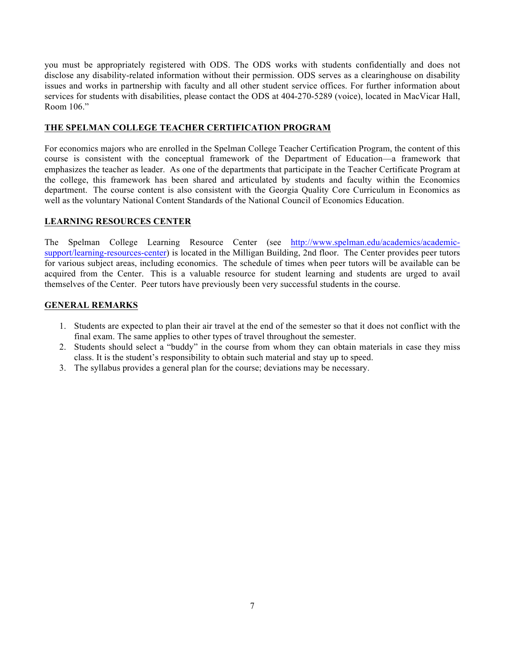you must be appropriately registered with ODS. The ODS works with students confidentially and does not disclose any disability-related information without their permission. ODS serves as a clearinghouse on disability issues and works in partnership with faculty and all other student service offices. For further information about services for students with disabilities, please contact the ODS at 404-270-5289 (voice), located in MacVicar Hall, Room 106<sup>"</sup>

## **THE SPELMAN COLLEGE TEACHER CERTIFICATION PROGRAM**

For economics majors who are enrolled in the Spelman College Teacher Certification Program, the content of this course is consistent with the conceptual framework of the Department of Education—a framework that emphasizes the teacher as leader. As one of the departments that participate in the Teacher Certificate Program at the college, this framework has been shared and articulated by students and faculty within the Economics department. The course content is also consistent with the Georgia Quality Core Curriculum in Economics as well as the voluntary National Content Standards of the National Council of Economics Education.

#### **LEARNING RESOURCES CENTER**

The Spelman College Learning Resource Center (see http://www.spelman.edu/academics/academicsupport/learning-resources-center) is located in the Milligan Building, 2nd floor. The Center provides peer tutors for various subject areas, including economics. The schedule of times when peer tutors will be available can be acquired from the Center. This is a valuable resource for student learning and students are urged to avail themselves of the Center. Peer tutors have previously been very successful students in the course.

## **GENERAL REMARKS**

- 1. Students are expected to plan their air travel at the end of the semester so that it does not conflict with the final exam. The same applies to other types of travel throughout the semester.
- 2. Students should select a "buddy" in the course from whom they can obtain materials in case they miss class. It is the student's responsibility to obtain such material and stay up to speed.
- 3. The syllabus provides a general plan for the course; deviations may be necessary.